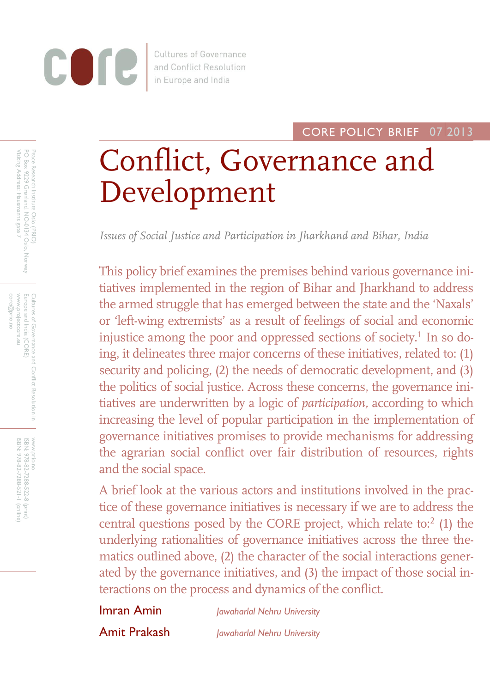

**Cultures of Governance** and Conflict Resolution in Europe and India

## CORE POLICY BRIEF 07 2013

# Conflict, Governance and Development

*Issues of Social Justice and Participation in Jharkhand and Bihar, India*

This policy brief examines the premises behind various governance initiatives implemented in the region of Bihar and Jharkhand to address the armed struggle that has emerged between the state and the 'Naxals' or 'left-wing extremists' as a result of feelings of social and economic injustice among the poor and oppressed sections of society.<sup>1</sup> In so doing, it delineates three major concerns of these initiatives, related to: (1) security and policing, (2) the needs of democratic development, and (3) the politics of social justice. Across these concerns, the governance initiatives are underwritten by a logic of *participation,* according to which increasing the level of popular participation in the implementation of governance initiatives promises to provide mechanisms for addressing the agrarian social conflict over fair distribution of resources, rights and the social space.

A brief look at the various actors and institutions involved in the practice of these governance initiatives is necessary if we are to address the central questions posed by the CORE project, which relate to: $2$  (1) the underlying rationalities of governance initiatives across the three thematics outlined above, (2) the character of the social interactions generated by the governance initiatives, and (3) the impact of those social interactions on the process and dynamics of the conflict.

Imran Amin

*Jawaharlal Nehru University*

Amit Prakash

*Jawaharlal Nehru University*

www.projectcore.eu Cultures of Govermance and Conflict Resolution in<br>Europe and India (CORE) core@prio.no www.projectcore.eu Europe and India (CORE) Cultures of Governance and Conflict Resolution in core@prio.nc

> ISBN: www.prio.no

WWW.prio.

978-82-7288-522-8

ISBN: 978-82-7288-521-1

(print) (online)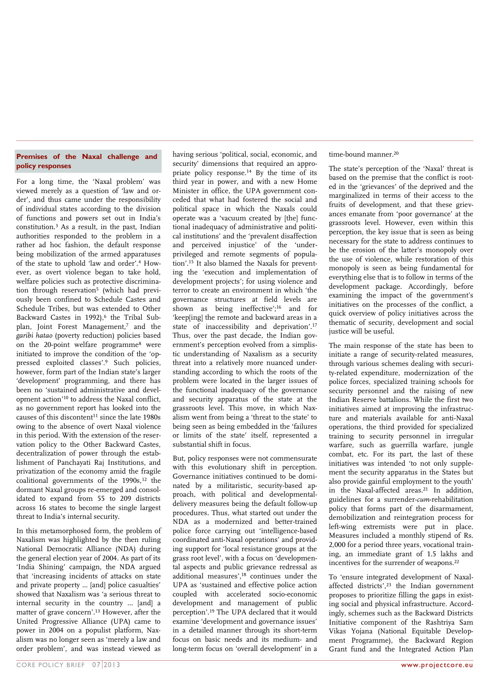#### **Premises of the Naxal challenge and policy responses**

For a long time, the 'Naxal problem' was viewed merely as a question of 'law and order', and thus came under the responsibility of individual states according to the division of functions and powers set out in India's constitution.<sup>3</sup> As a result, in the past, Indian authorities responded to the problem in a rather ad hoc fashion, the default response being mobilization of the armed apparatuses of the state to uphold 'law and order'.<sup>4</sup> However, as overt violence began to take hold, welfare policies such as protective discrimination through reservation<sup>5</sup> (which had previously been confined to Schedule Castes and Schedule Tribes, but was extended to Other Backward Castes in 1992),<sup>6</sup> the Tribal Subplan, Joint Forest Management,7 and the *garibi hatao* (poverty reduction) policies based on the 20-point welfare programme<sup>8</sup> were initiated to improve the condition of the 'oppressed exploited classes'.<sup>9</sup> Such policies, however, form part of the Indian state's larger 'development' programming, and there has been no 'sustained administrative and development action'<sup>10</sup> to address the Naxal conflict, as no government report has looked into the causes of this discontent<sup>11</sup> since the late 1980s owing to the absence of overt Naxal violence in this period. With the extension of the reservation policy to the Other Backward Castes, decentralization of power through the establishment of Panchayati Raj Institutions, and privatization of the economy amid the fragile coalitional governments of the 1990s,<sup>12</sup> the dormant Naxal groups re-emerged and consolidated to expand from 55 to 209 districts across 16 states to become the single largest threat to India's internal security.

In this metamorphosed form, the problem of Naxalism was highlighted by the then ruling National Democratic Alliance (NDA) during the general election year of 2004. As part of its 'India Shining' campaign, the NDA argued that 'increasing incidents of attacks on state and private property ... [and] police casualties' showed that Naxalism was 'a serious threat to internal security in the country ... [and] a matter of grave concern'.<sup>13</sup> However, after the United Progressive Alliance (UPA) came to power in 2004 on a populist platform, Naxalism was no longer seen as 'merely a law and order problem', and was instead viewed as

having serious 'political, social, economic, and security' dimensions that required an appropriate policy response.<sup>14</sup> By the time of its third year in power, and with a new Home Minister in office, the UPA government conceded that what had fostered the social and political space in which the Naxals could operate was a 'vacuum created by [the] functional inadequacy of administrative and political institutions' and the 'prevalent disaffection and perceived injustice' of the 'underprivileged and remote segments of population'.<sup>15</sup> It also blamed the Naxals for preventing the 'execution and implementation of development projects'; for using violence and terror to create an environment in which 'the governance structures at field levels are shown as being ineffective';<sup>16</sup> and for 'keep[ing] the remote and backward areas in a state of inaccessibility and deprivation'.<sup>17</sup> Thus, over the past decade, the Indian government's perception evolved from a simplistic understanding of Naxalism as a security threat into a relatively more nuanced understanding according to which the roots of the problem were located in the larger issues of the functional inadequacy of the governance and security apparatus of the state at the grassroots level. This move, in which Naxalism went from being a 'threat to the state' to being seen as being embedded in the 'failures or limits of the state' itself, represented a substantial shift in focus.

But, policy responses were not commensurate with this evolutionary shift in perception. Governance initiatives continued to be dominated by a militaristic, security-based approach, with political and developmentaldelivery measures being the default follow-up procedures. Thus, what started out under the NDA as a modernized and better-trained police force carrying out 'intelligence-based coordinated anti-Naxal operations' and providing support for 'local resistance groups at the grass root level', with a focus on 'developmental aspects and public grievance redressal as additional measures',<sup>18</sup> continues under the UPA as 'sustained and effective police action coupled with accelerated socio-economic development and management of public perception'.<sup>19</sup> The UPA declared that it would examine 'development and governance issues' in a detailed manner through its short-term focus on basic needs and its medium- and long-term focus on 'overall development' in a

time-bound manner.<sup>20</sup>

The state's perception of the 'Naxal' threat is based on the premise that the conflict is rooted in the 'grievances' of the deprived and the marginalized in terms of their access to the fruits of development, and that these grievances emanate from 'poor governance' at the grassroots level. However, even within this perception, the key issue that is seen as being necessary for the state to address continues to be the erosion of the latter's monopoly over the use of violence, while restoration of this monopoly is seen as being fundamental for everything else that is to follow in terms of the development package. Accordingly, before examining the impact of the government's initiatives on the processes of the conflict, a quick overview of policy initiatives across the thematic of security, development and social justice will be useful.

The main response of the state has been to initiate a range of security-related measures, through various schemes dealing with security-related expenditure, modernization of the police forces, specialized training schools for security personnel and the raising of new Indian Reserve battalions. While the first two initiatives aimed at improving the infrastructure and materials available for anti-Naxal operations, the third provided for specialized training to security personnel in irregular warfare, such as guerrilla warfare, jungle combat, etc. For its part, the last of these initiatives was intended 'to not only supplement the security apparatus in the States but also provide gainful employment to the youth' in the Naxal-affected areas.<sup>21</sup> In addition, guidelines for a surrender-*cum*-rehabilitation policy that forms part of the disarmament, demobilization and reintegration process for left-wing extremists were put in place. Measures included a monthly stipend of Rs. 2,000 for a period three years, vocational training, an immediate grant of 1.5 lakhs and incentives for the surrender of weapons.<sup>22</sup>

To 'ensure integrated development of Naxalaffected districts',<sup>23</sup> the Indian government proposes to prioritize filling the gaps in existing social and physical infrastructure. Accordingly, schemes such as the Backward Districts Initiative component of the Rashtriya Sam Vikas Yojana (National Equitable Development Programme), the Backward Region Grant fund and the Integrated Action Plan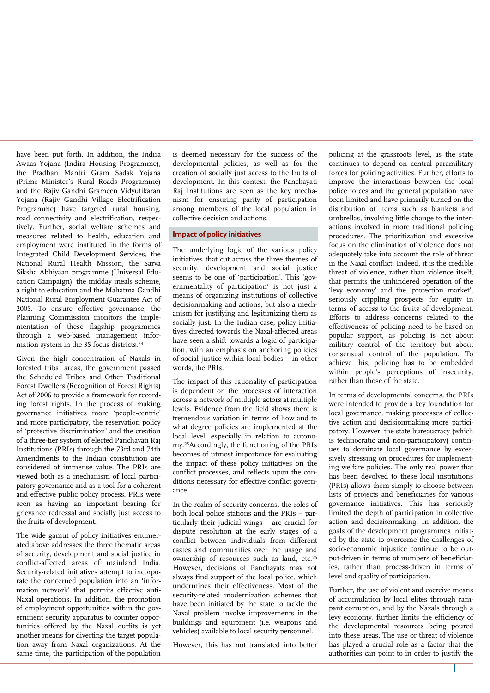have been put forth. In addition, the Indira Awaas Yojana (Indira Housing Programme), the Pradhan Mantri Gram Sadak Yojana (Prime Minister's Rural Roads Programme) and the Rajiv Gandhi Grameen Vidyutikaran Yojana (Rajiv Gandhi Village Electrification Programme) have targeted rural housing, road connectivity and electrification, respectively. Further, social welfare schemes and measures related to health, education and employment were instituted in the forms of Integrated Child Development Services, the National Rural Health Mission, the Sarva Siksha Abhiyaan programme (Universal Education Campaign), the midday meals scheme, a right to education and the Mahatma Gandhi National Rural Employment Guarantee Act of 2005. To ensure effective governance, the Planning Commission monitors the implementation of these flagship programmes through a web-based management information system in the 35 focus districts.<sup>24</sup>

Given the high concentration of Naxals in forested tribal areas, the government passed the Scheduled Tribes and Other Traditional Forest Dwellers (Recognition of Forest Rights) Act of 2006 to provide a framework for recording forest rights. In the process of making governance initiatives more 'people-centric' and more participatory, the reservation policy of 'protective discrimination' and the creation of a three-tier system of elected Panchayati Raj Institutions (PRIs) through the 73rd and 74th Amendments to the Indian constitution are considered of immense value. The PRIs are viewed both as a mechanism of local participatory governance and as a tool for a coherent and effective public policy process. PRIs were seen as having an important bearing for grievance redressal and socially just access to the fruits of development.

The wide gamut of policy initiatives enumerated above addresses the three thematic areas of security, development and social justice in conflict-affected areas of mainland India. Security-related initiatives attempt to incorporate the concerned population into an 'information network' that permits effective anti-Naxal operations. In addition, the promotion of employment opportunities within the government security apparatus to counter opportunities offered by the Naxal outfits is yet another means for diverting the target population away from Naxal organizations. At the same time, the participation of the population

is deemed necessary for the success of the developmental policies, as well as for the creation of socially just access to the fruits of development. In this context, the Panchayati Raj Institutions are seen as the key mechanism for ensuring parity of participation among members of the local population in collective decision and actions.

#### **Impact of policy initiatives**

The underlying logic of the various policy initiatives that cut across the three themes of security, development and social justice seems to be one of 'participation'. This 'governmentality of participation' is not just a means of organizing institutions of collective decisionmaking and actions, but also a mechanism for justifying and legitimizing them as socially just. In the Indian case, policy initiatives directed towards the Naxal-affected areas have seen a shift towards a logic of participation, with an emphasis on anchoring policies of social justice within local bodies – in other words, the PRIs.

The impact of this rationality of participation is dependent on the processes of interaction across a network of multiple actors at multiple levels. Evidence from the field shows there is tremendous variation in terms of how and to what degree policies are implemented at the local level, especially in relation to autonomy.<sup>25</sup>Accordingly, the functioning of the PRIs becomes of utmost importance for evaluating the impact of these policy initiatives on the conflict processes, and reflects upon the conditions necessary for effective conflict governance.

In the realm of security concerns, the roles of both local police stations and the PRIs – particularly their judicial wings – are crucial for dispute resolution at the early stages of a conflict between individuals from different castes and communities over the usage and ownership of resources such as land, etc.<sup>26</sup> However, decisions of Panchayats may not always find support of the local police, which undermines their effectiveness. Most of the security-related modernization schemes that have been initiated by the state to tackle the Naxal problem involve improvements in the buildings and equipment (i.e. weapons and vehicles) available to local security personnel.

However, this has not translated into better

policing at the grassroots level, as the state continues to depend on central paramilitary forces for policing activities. Further, efforts to improve the interactions between the local police forces and the general population have been limited and have primarily turned on the distribution of items such as blankets and umbrellas, involving little change to the interactions involved in more traditional policing procedures. The prioritization and excessive focus on the elimination of violence does not adequately take into account the role of threat in the Naxal conflict. Indeed, it is the credible threat of violence, rather than violence itself, that permits the unhindered operation of the 'levy economy' and the 'protection market', seriously crippling prospects for equity in terms of access to the fruits of development. Efforts to address concerns related to the effectiveness of policing need to be based on popular support, as policing is not about military control of the territory but about consensual control of the population. To achieve this, policing has to be embedded within people's perceptions of insecurity, rather than those of the state.

In terms of developmental concerns, the PRIs were intended to provide a key foundation for local governance, making processes of collective action and decisionmaking more participatory. However, the state bureaucracy (which is technocratic and non-participatory) continues to dominate local governance by excessively stressing on procedures for implementing welfare policies. The only real power that has been devolved to these local institutions (PRIs) allows them simply to choose between lists of projects and beneficiaries for various governance initiatives. This has seriously limited the depth of participation in collective action and decisionmaking. In addition, the goals of the development programmes initiated by the state to overcome the challenges of socio-economic injustice continue to be output-driven in terms of numbers of beneficiaries, rather than process-driven in terms of level and quality of participation.

Further, the use of violent and coercive means of accumulation by local elites through rampant corruption, and by the Naxals through a levy economy, further limits the efficiency of the developmental resources being poured into these areas. The use or threat of violence has played a crucial role as a factor that the authorities can point to in order to justify the